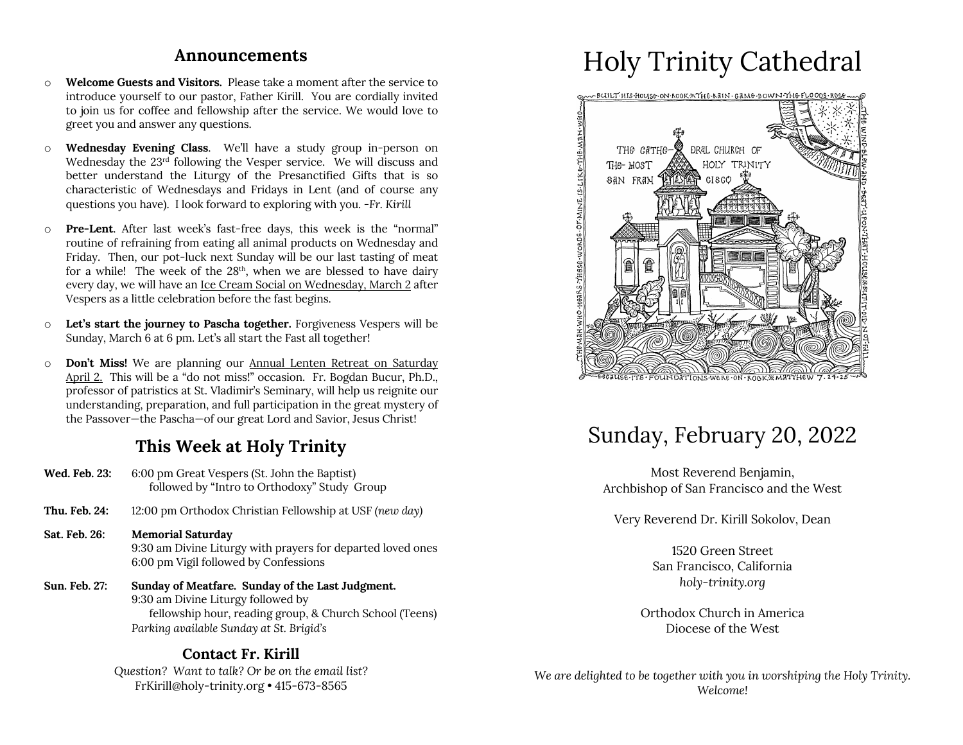### **Announcements**

- o **Welcome Guests and Visitors.** Please take a moment after the service to introduce yourself to our pastor, Father Kirill. You are cordially invited to join us for coffee and fellowship after the service. We would love to greet you and answer any questions.
- o **Wednesday Evening Class**. We'll have a study group in-person on Wednesday the 23rd following the Vesper service. We will discuss and better understand the Liturgy of the Presanctified Gifts that is so characteristic of Wednesdays and Fridays in Lent (and of course any questions you have). I look forward to exploring with you. *-Fr. Kirill*
- o **Pre-Lent**. After last week's fast-free days, this week is the "normal" routine of refraining from eating all animal products on Wednesday and Friday. Then, our pot-luck next Sunday will be our last tasting of meat for a while! The week of the 28<sup>th</sup>, when we are blessed to have dairy every day, we will have an Ice Cream Social on Wednesday, March 2 after Vespers as a little celebration before the fast begins.
- o **Let's start the journey to Pascha together.** Forgiveness Vespers will be Sunday, March 6 at 6 pm. Let's all start the Fast all together!
- o **Don't Miss!** We are planning our Annual Lenten Retreat on Saturday April 2. This will be a "do not miss!" occasion. Fr. Bogdan Bucur, Ph.D., professor of patristics at St. Vladimir's Seminary, will help us reignite our understanding, preparation, and full participation in the great mystery of the Passover—the Pascha—of our great Lord and Savior, Jesus Christ!

### **This Week at Holy Trinity**

- **Wed. Feb. 23:** 6:00 pm Great Vespers (St. John the Baptist) followed by "Intro to Orthodoxy" Study Group
- **Thu. Feb. 24:** 12:00 pm Orthodox Christian Fellowship at USF *(new day)*
- **Sat. Feb. 26: Memorial Saturday** 9:30 am Divine Liturgy with prayers for departed loved ones 6:00 pm Vigil followed by Confessions
- **Sun. Feb. 27: Sunday of Meatfare. Sunday of the Last Judgment.** 9:30 am Divine Liturgy followed by fellowship hour, reading group, & Church School (Teens) *Parking available Sunday at St. Brigid's*

### **Contact Fr. Kirill**

*Question? Want to talk? Or be on the email list?* FrKirill@holy-trinity.org • 415-673-8565

# Holy Trinity Cathedral



## Sunday, February 20, 2022

Most Reverend Benjamin, Archbishop of San Francisco and the West

Very Reverend Dr. Kirill Sokolov, Dean

1520 Green Street San Francisco, California *holy-trinity.org*

Orthodox Church in America Diocese of the West

*We are delighted to be together with you in worshiping the Holy Trinity. Welcome!*